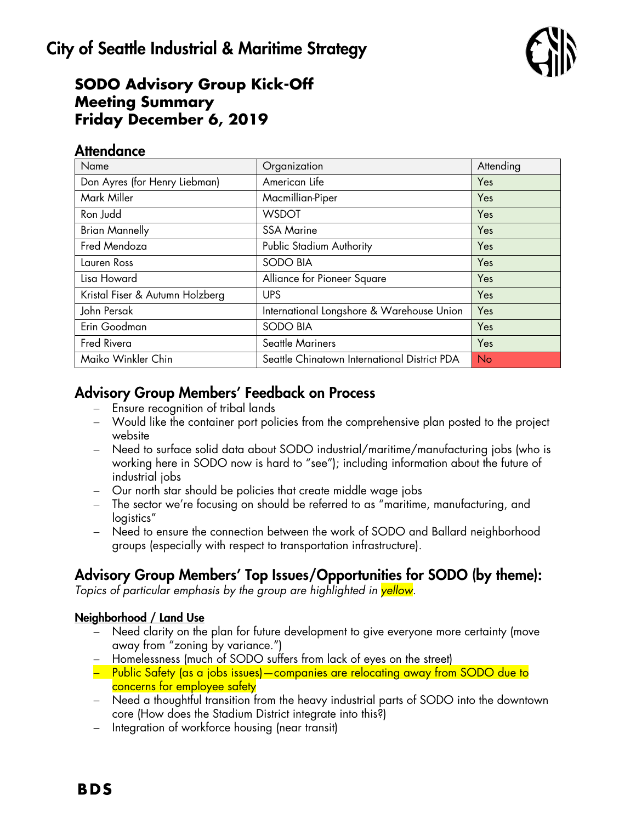

## **SODO Advisory Group Kick-Off Meeting Summary Friday December 6, 2019**

## **Attendance**

| Name                            | Organization                                 | Attending |
|---------------------------------|----------------------------------------------|-----------|
| Don Ayres (for Henry Liebman)   | American Life                                | Yes       |
| Mark Miller                     | Macmillian-Piper                             | Yes       |
| Ron Judd                        | <b>WSDOT</b>                                 | Yes       |
| <b>Brian Mannelly</b>           | <b>SSA Marine</b>                            | Yes       |
| Fred Mendoza                    | Public Stadium Authority                     | Yes       |
| Lauren Ross                     | <b>SODO BIA</b>                              | Yes       |
| Lisa Howard                     | Alliance for Pioneer Square                  | Yes       |
| Kristal Fiser & Autumn Holzberg | <b>UPS</b>                                   | Yes       |
| John Persak                     | International Longshore & Warehouse Union    | Yes       |
| Erin Goodman                    | <b>SODO BIA</b>                              | Yes       |
| <b>Fred Rivera</b>              | <b>Seattle Mariners</b>                      | Yes       |
| Maiko Winkler Chin              | Seattle Chinatown International District PDA | <b>No</b> |

## Advisory Group Members' Feedback on Process

- Ensure recognition of tribal lands
- Would like the container port policies from the comprehensive plan posted to the project website
- Need to surface solid data about SODO industrial/maritime/manufacturing jobs (who is working here in SODO now is hard to "see"); including information about the future of industrial jobs
- Our north star should be policies that create middle wage jobs
- The sector we're focusing on should be referred to as "maritime, manufacturing, and logistics"
- Need to ensure the connection between the work of SODO and Ballard neighborhood groups (especially with respect to transportation infrastructure).

## Advisory Group Members' Top Issues/Opportunities for SODO (by theme):

*Topics of particular emphasis by the group are highlighted in yellow.*

### Neighborhood / Land Use

- Need clarity on the plan for future development to give everyone more certainty (move away from "zoning by variance.")
- Homelessness (much of SODO suffers from lack of eyes on the street)
- Public Safety (as a jobs issues) companies are relocating away from SODO due to concerns for employee safety
- Need a thoughtful transition from the heavy industrial parts of SODO into the downtown core (How does the Stadium District integrate into this?)
- Integration of workforce housing (near transit)